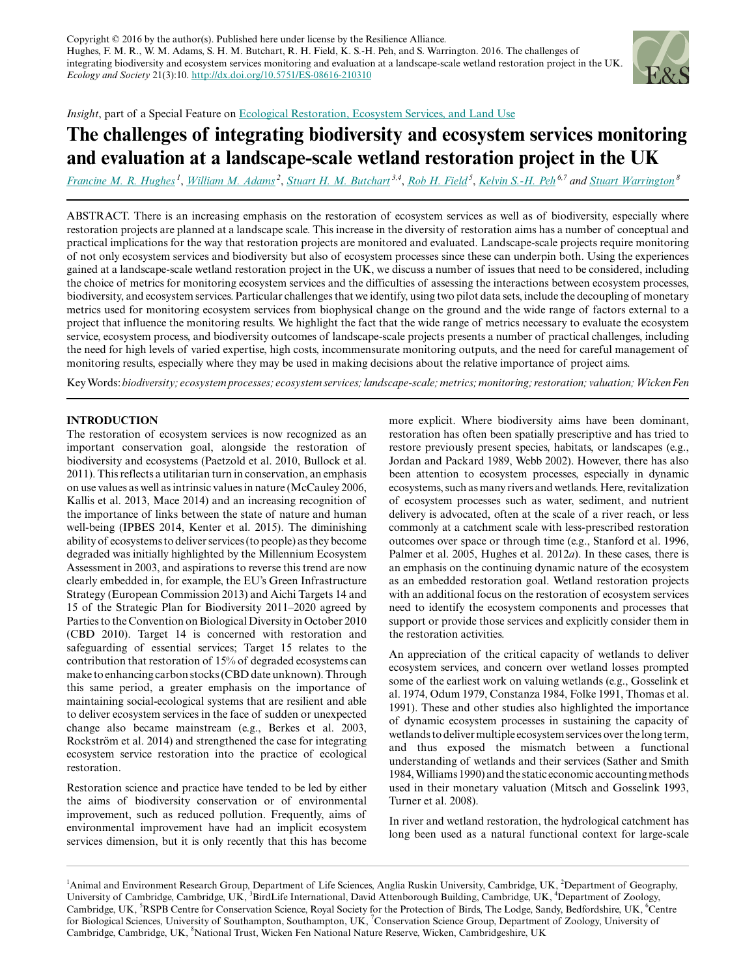

*Insight*, part of a Special Feature on [Ecological Restoration, Ecosystem Services, and Land Use](http://www.ecologyandsociety.org/viewissue.php?sf=109)

# **The challenges of integrating biodiversity and ecosystem services monitoring and evaluation at a landscape-scale wetland restoration project in the UK**

*[Francine M. R. Hughes](mailto:francine.hughes@anglia.ac.uk)<sup>1</sup>* , *[William M. Adams](mailto:wa12@cam.ac.uk)<sup>2</sup>* , *[Stuart H. M. Butchart](mailto:Stuart.Butchart@birdlife.org) 3,4* , *[Rob H. Field](mailto:rob.field@rspb.org.uk)<sup>5</sup>* , *[Kelvin S.-H. Peh](mailto:kelvin.peh@gmail.com) 6,7 and [Stuart Warrington](mailto:stuart.warrington@nationaltrust.org.uk)<sup>8</sup>*

ABSTRACT. There is an increasing emphasis on the restoration of ecosystem services as well as of biodiversity, especially where restoration projects are planned at a landscape scale. This increase in the diversity of restoration aims has a number of conceptual and practical implications for the way that restoration projects are monitored and evaluated. Landscape-scale projects require monitoring of not only ecosystem services and biodiversity but also of ecosystem processes since these can underpin both. Using the experiences gained at a landscape-scale wetland restoration project in the UK, we discuss a number of issues that need to be considered, including the choice of metrics for monitoring ecosystem services and the difficulties of assessing the interactions between ecosystem processes, biodiversity, and ecosystem services. Particular challenges that we identify, using two pilot data sets, include the decoupling of monetary metrics used for monitoring ecosystem services from biophysical change on the ground and the wide range of factors external to a project that influence the monitoring results. We highlight the fact that the wide range of metrics necessary to evaluate the ecosystem service, ecosystem process, and biodiversity outcomes of landscape-scale projects presents a number of practical challenges, including the need for high levels of varied expertise, high costs, incommensurate monitoring outputs, and the need for careful management of monitoring results, especially where they may be used in making decisions about the relative importance of project aims.

Key Words: *biodiversity; ecosystem processes; ecosystem services; landscape-scale; metrics; monitoring; restoration; valuation; Wicken Fen*

# **INTRODUCTION**

The restoration of ecosystem services is now recognized as an important conservation goal, alongside the restoration of biodiversity and ecosystems (Paetzold et al. 2010, Bullock et al. 2011). This reflects a utilitarian turn in conservation, an emphasis on use values as well as intrinsic values in nature (McCauley 2006, Kallis et al. 2013, Mace 2014) and an increasing recognition of the importance of links between the state of nature and human well-being (IPBES 2014, Kenter et al. 2015). The diminishing ability of ecosystems to deliver services (to people) as they become degraded was initially highlighted by the Millennium Ecosystem Assessment in 2003, and aspirations to reverse this trend are now clearly embedded in, for example, the EU's Green Infrastructure Strategy (European Commission 2013) and Aichi Targets 14 and 15 of the Strategic Plan for Biodiversity 2011–2020 agreed by Parties to the Convention on Biological Diversity in October 2010 (CBD 2010). Target 14 is concerned with restoration and safeguarding of essential services; Target 15 relates to the contribution that restoration of 15% of degraded ecosystems can make to enhancing carbon stocks (CBD date unknown). Through this same period, a greater emphasis on the importance of maintaining social-ecological systems that are resilient and able to deliver ecosystem services in the face of sudden or unexpected change also became mainstream (e.g., Berkes et al. 2003, Rockström et al. 2014) and strengthened the case for integrating ecosystem service restoration into the practice of ecological restoration.

Restoration science and practice have tended to be led by either the aims of biodiversity conservation or of environmental improvement, such as reduced pollution. Frequently, aims of environmental improvement have had an implicit ecosystem services dimension, but it is only recently that this has become more explicit. Where biodiversity aims have been dominant, restoration has often been spatially prescriptive and has tried to restore previously present species, habitats, or landscapes (e.g., Jordan and Packard 1989, Webb 2002). However, there has also been attention to ecosystem processes, especially in dynamic ecosystems, such as many rivers and wetlands. Here, revitalization of ecosystem processes such as water, sediment, and nutrient delivery is advocated, often at the scale of a river reach, or less commonly at a catchment scale with less-prescribed restoration outcomes over space or through time (e.g., Stanford et al. 1996, Palmer et al. 2005, Hughes et al. 2012*a*). In these cases, there is an emphasis on the continuing dynamic nature of the ecosystem as an embedded restoration goal. Wetland restoration projects with an additional focus on the restoration of ecosystem services need to identify the ecosystem components and processes that support or provide those services and explicitly consider them in the restoration activities.

An appreciation of the critical capacity of wetlands to deliver ecosystem services, and concern over wetland losses prompted some of the earliest work on valuing wetlands (e.g., Gosselink et al. 1974, Odum 1979, Constanza 1984, Folke 1991, Thomas et al. 1991). These and other studies also highlighted the importance of dynamic ecosystem processes in sustaining the capacity of wetlands to deliver multiple ecosystem services over the long term, and thus exposed the mismatch between a functional understanding of wetlands and their services (Sather and Smith 1984, Williams 1990) and the static economic accounting methods used in their monetary valuation (Mitsch and Gosselink 1993, Turner et al. 2008).

In river and wetland restoration, the hydrological catchment has long been used as a natural functional context for large-scale

 ${}^{1}$ Animal and Environment Research Group, Department of Life Sciences, Anglia Ruskin University, Cambridge, UK,  ${}^{2}$ Department of Geography, University of Cambridge, Cambridge, UK, <sup>3</sup>BirdLife International, David Attenborough Building, Cambridge, UK, <sup>4</sup>Department of Zoology, Cambridge, UK, <sup>5</sup>RSPB Centre for Conservation Science, Royal Society for the Protection of Birds, The Lodge, Sandy, Bedfordshire, UK, <sup>6</sup>Centre for Biological Sciences, University of Southampton, Southampton, UK, <sup>7</sup>Conservation Science Group, Department of Zoology, University of Cambridge, Cambridge, UK, <sup>8</sup>National Trust, Wicken Fen National Nature Reserve, Wicken, Cambridgeshire, UK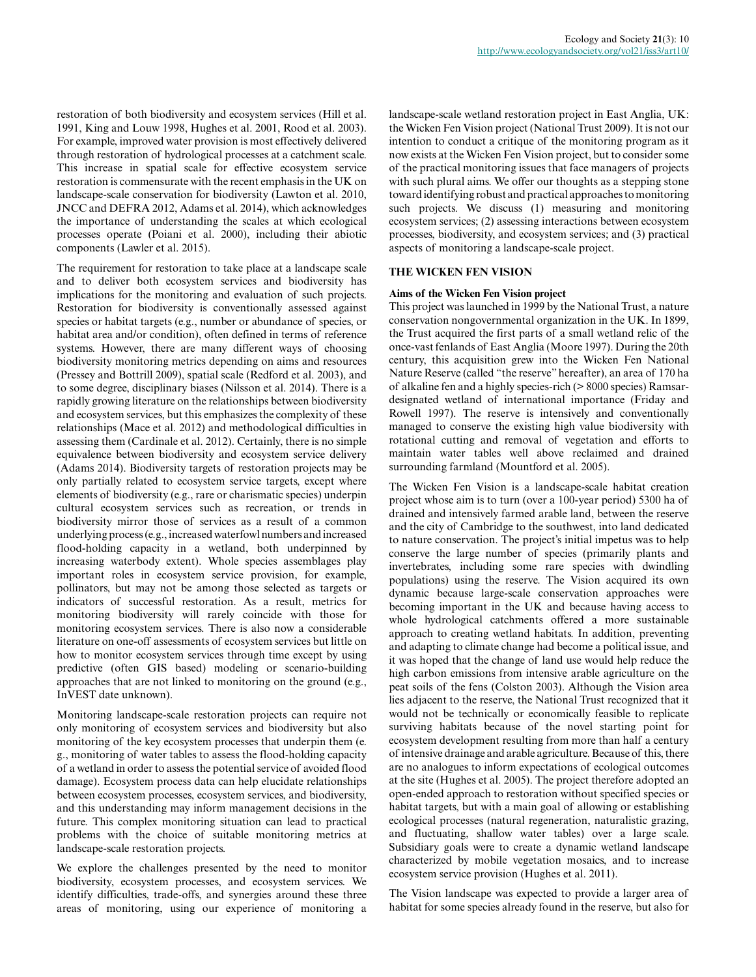restoration of both biodiversity and ecosystem services (Hill et al. 1991, King and Louw 1998, Hughes et al. 2001, Rood et al. 2003). For example, improved water provision is most effectively delivered through restoration of hydrological processes at a catchment scale. This increase in spatial scale for effective ecosystem service restoration is commensurate with the recent emphasis in the UK on landscape-scale conservation for biodiversity (Lawton et al. 2010, JNCC and DEFRA 2012, Adams et al. 2014), which acknowledges the importance of understanding the scales at which ecological processes operate (Poiani et al. 2000), including their abiotic components (Lawler et al. 2015).

The requirement for restoration to take place at a landscape scale and to deliver both ecosystem services and biodiversity has implications for the monitoring and evaluation of such projects. Restoration for biodiversity is conventionally assessed against species or habitat targets (e.g., number or abundance of species, or habitat area and/or condition), often defined in terms of reference systems. However, there are many different ways of choosing biodiversity monitoring metrics depending on aims and resources (Pressey and Bottrill 2009), spatial scale (Redford et al. 2003), and to some degree, disciplinary biases (Nilsson et al. 2014). There is a rapidly growing literature on the relationships between biodiversity and ecosystem services, but this emphasizes the complexity of these relationships (Mace et al. 2012) and methodological difficulties in assessing them (Cardinale et al. 2012). Certainly, there is no simple equivalence between biodiversity and ecosystem service delivery (Adams 2014). Biodiversity targets of restoration projects may be only partially related to ecosystem service targets, except where elements of biodiversity (e.g., rare or charismatic species) underpin cultural ecosystem services such as recreation, or trends in biodiversity mirror those of services as a result of a common underlying process (e.g., increased waterfowl numbers and increased flood-holding capacity in a wetland, both underpinned by increasing waterbody extent). Whole species assemblages play important roles in ecosystem service provision, for example, pollinators, but may not be among those selected as targets or indicators of successful restoration. As a result, metrics for monitoring biodiversity will rarely coincide with those for monitoring ecosystem services. There is also now a considerable literature on one-off assessments of ecosystem services but little on how to monitor ecosystem services through time except by using predictive (often GIS based) modeling or scenario-building approaches that are not linked to monitoring on the ground (e.g., InVEST date unknown).

Monitoring landscape-scale restoration projects can require not only monitoring of ecosystem services and biodiversity but also monitoring of the key ecosystem processes that underpin them (e. g., monitoring of water tables to assess the flood-holding capacity of a wetland in order to assess the potential service of avoided flood damage). Ecosystem process data can help elucidate relationships between ecosystem processes, ecosystem services, and biodiversity, and this understanding may inform management decisions in the future. This complex monitoring situation can lead to practical problems with the choice of suitable monitoring metrics at landscape-scale restoration projects.

We explore the challenges presented by the need to monitor biodiversity, ecosystem processes, and ecosystem services. We identify difficulties, trade-offs, and synergies around these three areas of monitoring, using our experience of monitoring a

landscape-scale wetland restoration project in East Anglia, UK: the Wicken Fen Vision project (National Trust 2009). It is not our intention to conduct a critique of the monitoring program as it now exists at the Wicken Fen Vision project, but to consider some of the practical monitoring issues that face managers of projects with such plural aims. We offer our thoughts as a stepping stone toward identifying robust and practical approaches to monitoring such projects. We discuss (1) measuring and monitoring ecosystem services; (2) assessing interactions between ecosystem processes, biodiversity, and ecosystem services; and (3) practical aspects of monitoring a landscape-scale project.

# **THE WICKEN FEN VISION**

#### **Aims of the Wicken Fen Vision project**

This project was launched in 1999 by the National Trust, a nature conservation nongovernmental organization in the UK. In 1899, the Trust acquired the first parts of a small wetland relic of the once-vast fenlands of East Anglia (Moore 1997). During the 20th century, this acquisition grew into the Wicken Fen National Nature Reserve (called "the reserve" hereafter), an area of 170 ha of alkaline fen and a highly species-rich (> 8000 species) Ramsardesignated wetland of international importance (Friday and Rowell 1997). The reserve is intensively and conventionally managed to conserve the existing high value biodiversity with rotational cutting and removal of vegetation and efforts to maintain water tables well above reclaimed and drained surrounding farmland (Mountford et al. 2005).

The Wicken Fen Vision is a landscape-scale habitat creation project whose aim is to turn (over a 100-year period) 5300 ha of drained and intensively farmed arable land, between the reserve and the city of Cambridge to the southwest, into land dedicated to nature conservation. The project's initial impetus was to help conserve the large number of species (primarily plants and invertebrates, including some rare species with dwindling populations) using the reserve. The Vision acquired its own dynamic because large-scale conservation approaches were becoming important in the UK and because having access to whole hydrological catchments offered a more sustainable approach to creating wetland habitats. In addition, preventing and adapting to climate change had become a political issue, and it was hoped that the change of land use would help reduce the high carbon emissions from intensive arable agriculture on the peat soils of the fens (Colston 2003). Although the Vision area lies adjacent to the reserve, the National Trust recognized that it would not be technically or economically feasible to replicate surviving habitats because of the novel starting point for ecosystem development resulting from more than half a century of intensive drainage and arable agriculture. Because of this, there are no analogues to inform expectations of ecological outcomes at the site (Hughes et al. 2005). The project therefore adopted an open-ended approach to restoration without specified species or habitat targets, but with a main goal of allowing or establishing ecological processes (natural regeneration, naturalistic grazing, and fluctuating, shallow water tables) over a large scale. Subsidiary goals were to create a dynamic wetland landscape characterized by mobile vegetation mosaics, and to increase ecosystem service provision (Hughes et al. 2011).

The Vision landscape was expected to provide a larger area of habitat for some species already found in the reserve, but also for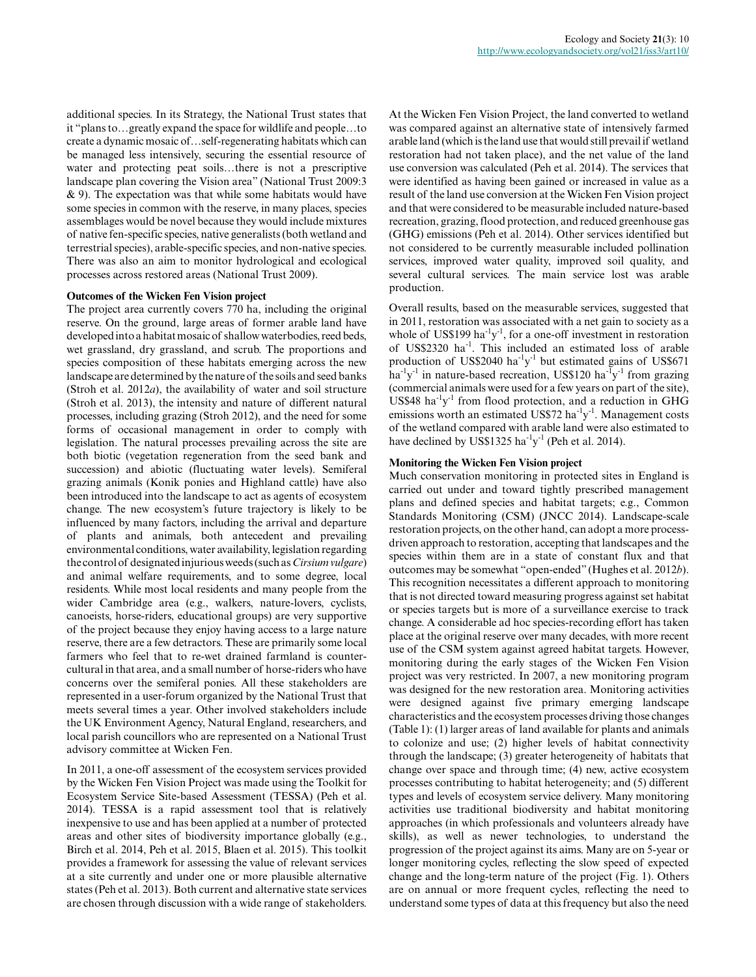additional species. In its Strategy, the National Trust states that it "plans to…greatly expand the space for wildlife and people…to create a dynamic mosaic of…self-regenerating habitats which can be managed less intensively, securing the essential resource of water and protecting peat soils…there is not a prescriptive landscape plan covering the Vision area" (National Trust 2009:3 & 9). The expectation was that while some habitats would have some species in common with the reserve, in many places, species assemblages would be novel because they would include mixtures of native fen-specific species, native generalists (both wetland and terrestrial species), arable-specific species, and non-native species. There was also an aim to monitor hydrological and ecological processes across restored areas (National Trust 2009).

# **Outcomes of the Wicken Fen Vision project**

The project area currently covers 770 ha, including the original reserve. On the ground, large areas of former arable land have developed into a habitat mosaic of shallow waterbodies, reed beds, wet grassland, dry grassland, and scrub. The proportions and species composition of these habitats emerging across the new landscape are determined by the nature of the soils and seed banks (Stroh et al. 2012*a*), the availability of water and soil structure (Stroh et al. 2013), the intensity and nature of different natural processes, including grazing (Stroh 2012), and the need for some forms of occasional management in order to comply with legislation. The natural processes prevailing across the site are both biotic (vegetation regeneration from the seed bank and succession) and abiotic (fluctuating water levels). Semiferal grazing animals (Konik ponies and Highland cattle) have also been introduced into the landscape to act as agents of ecosystem change. The new ecosystem's future trajectory is likely to be influenced by many factors, including the arrival and departure of plants and animals, both antecedent and prevailing environmental conditions, water availability, legislation regarding the control of designated injurious weeds (such as *Cirsium vulgare*) and animal welfare requirements, and to some degree, local residents. While most local residents and many people from the wider Cambridge area (e.g., walkers, nature-lovers, cyclists, canoeists, horse-riders, educational groups) are very supportive of the project because they enjoy having access to a large nature reserve, there are a few detractors. These are primarily some local farmers who feel that to re-wet drained farmland is countercultural in that area, and a small number of horse-riders who have concerns over the semiferal ponies. All these stakeholders are represented in a user-forum organized by the National Trust that meets several times a year. Other involved stakeholders include the UK Environment Agency, Natural England, researchers, and local parish councillors who are represented on a National Trust advisory committee at Wicken Fen.

In 2011, a one-off assessment of the ecosystem services provided by the Wicken Fen Vision Project was made using the Toolkit for Ecosystem Service Site-based Assessment (TESSA) (Peh et al. 2014). TESSA is a rapid assessment tool that is relatively inexpensive to use and has been applied at a number of protected areas and other sites of biodiversity importance globally (e.g., Birch et al. 2014, Peh et al. 2015, Blaen et al. 2015). This toolkit provides a framework for assessing the value of relevant services at a site currently and under one or more plausible alternative states (Peh et al. 2013). Both current and alternative state services are chosen through discussion with a wide range of stakeholders. At the Wicken Fen Vision Project, the land converted to wetland was compared against an alternative state of intensively farmed arable land (which is the land use that would still prevail if wetland restoration had not taken place), and the net value of the land use conversion was calculated (Peh et al. 2014). The services that were identified as having been gained or increased in value as a result of the land use conversion at the Wicken Fen Vision project and that were considered to be measurable included nature-based recreation, grazing, flood protection, and reduced greenhouse gas (GHG) emissions (Peh et al. 2014). Other services identified but not considered to be currently measurable included pollination services, improved water quality, improved soil quality, and several cultural services. The main service lost was arable production.

Overall results, based on the measurable services, suggested that in 2011, restoration was associated with a net gain to society as a whole of US\$199  $\text{ha}^{-1}\text{y}^{-1}$ , for a one-off investment in restoration of US\$2320 ha-1. This included an estimated loss of arable production of US\$2040  $ha^{-1}y^{-1}$  but estimated gains of US\$671  $ha^{-1}y^{-1}$  in nature-based recreation, US\$120  $ha^{-1}y^{-1}$  from grazing (commercial animals were used for a few years on part of the site), US\$48 ha<sup>-1</sup>y<sup>-1</sup> from flood protection, and a reduction in GHG emissions worth an estimated US\$72  $ha^{-1}y^{-1}$ . Management costs of the wetland compared with arable land were also estimated to have declined by US\$1325  $ha^{-1}y^{-1}$  (Peh et al. 2014).

# **Monitoring the Wicken Fen Vision project**

Much conservation monitoring in protected sites in England is carried out under and toward tightly prescribed management plans and defined species and habitat targets; e.g., Common Standards Monitoring (CSM) (JNCC 2014). Landscape-scale restoration projects, on the other hand, can adopt a more processdriven approach to restoration, accepting that landscapes and the species within them are in a state of constant flux and that outcomes may be somewhat "open-ended" (Hughes et al. 2012*b*). This recognition necessitates a different approach to monitoring that is not directed toward measuring progress against set habitat or species targets but is more of a surveillance exercise to track change. A considerable ad hoc species-recording effort has taken place at the original reserve over many decades, with more recent use of the CSM system against agreed habitat targets. However, monitoring during the early stages of the Wicken Fen Vision project was very restricted. In 2007, a new monitoring program was designed for the new restoration area. Monitoring activities were designed against five primary emerging landscape characteristics and the ecosystem processes driving those changes (Table 1): (1) larger areas of land available for plants and animals to colonize and use; (2) higher levels of habitat connectivity through the landscape; (3) greater heterogeneity of habitats that change over space and through time; (4) new, active ecosystem processes contributing to habitat heterogeneity; and (5) different types and levels of ecosystem service delivery. Many monitoring activities use traditional biodiversity and habitat monitoring approaches (in which professionals and volunteers already have skills), as well as newer technologies, to understand the progression of the project against its aims. Many are on 5-year or longer monitoring cycles, reflecting the slow speed of expected change and the long-term nature of the project (Fig. 1). Others are on annual or more frequent cycles, reflecting the need to understand some types of data at this frequency but also the need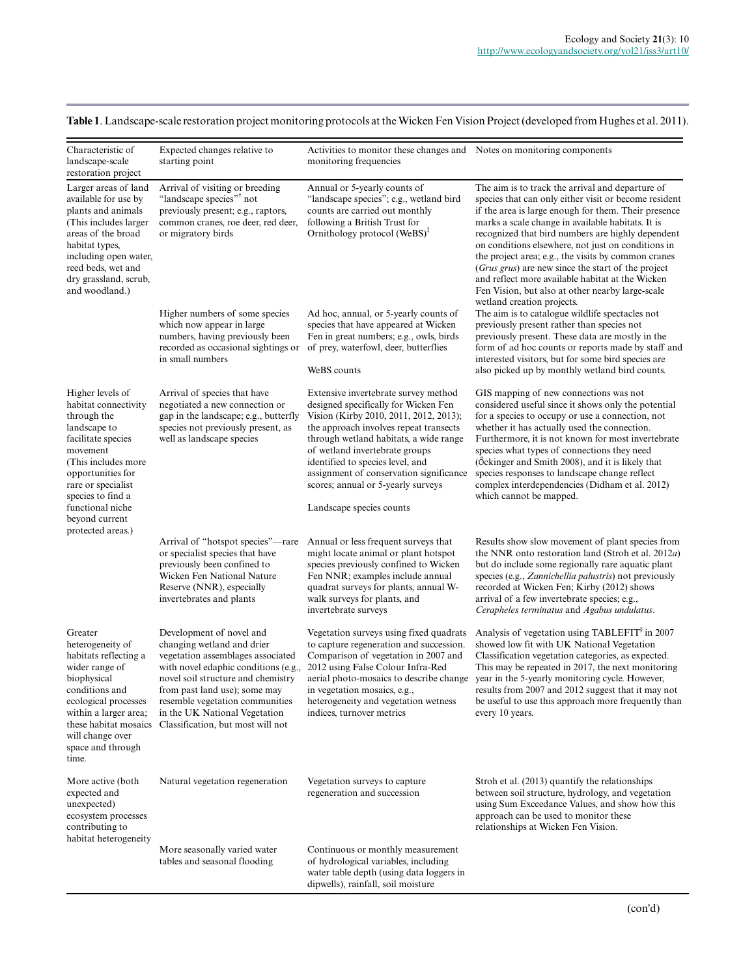| Characteristic of<br>landscape-scale<br>restoration project                                                                                                                                                                                                  | Expected changes relative to<br>starting point                                                                                                                                                                                                                                                                      | Activities to monitor these changes and Notes on monitoring components<br>monitoring frequencies                                                                                                                                                                                                                                                                                              |                                                                                                                                                                                                                                                                                                                                                                                                                                                                                                                                                        |  |  |  |
|--------------------------------------------------------------------------------------------------------------------------------------------------------------------------------------------------------------------------------------------------------------|---------------------------------------------------------------------------------------------------------------------------------------------------------------------------------------------------------------------------------------------------------------------------------------------------------------------|-----------------------------------------------------------------------------------------------------------------------------------------------------------------------------------------------------------------------------------------------------------------------------------------------------------------------------------------------------------------------------------------------|--------------------------------------------------------------------------------------------------------------------------------------------------------------------------------------------------------------------------------------------------------------------------------------------------------------------------------------------------------------------------------------------------------------------------------------------------------------------------------------------------------------------------------------------------------|--|--|--|
| Larger areas of land<br>available for use by<br>plants and animals<br>(This includes larger)<br>areas of the broad<br>habitat types,<br>including open water,<br>reed beds, wet and<br>dry grassland, scrub,<br>and woodland.)                               | Arrival of visiting or breeding<br>"landscape species" <sup>†</sup> not<br>previously present; e.g., raptors,<br>common cranes, roe deer, red deer,<br>or migratory birds                                                                                                                                           | Annual or 5-yearly counts of<br>"landscape species"; e.g., wetland bird<br>counts are carried out monthly<br>following a British Trust for<br>Ornithology protocol (WeBS) $7$                                                                                                                                                                                                                 | The aim is to track the arrival and departure of<br>species that can only either visit or become resident<br>if the area is large enough for them. Their presence<br>marks a scale change in available habitats. It is<br>recognized that bird numbers are highly dependent<br>on conditions elsewhere, not just on conditions in<br>the project area; e.g., the visits by common cranes<br>(Grus grus) are new since the start of the project<br>and reflect more available habitat at the Wicken<br>Fen Vision, but also at other nearby large-scale |  |  |  |
|                                                                                                                                                                                                                                                              | Higher numbers of some species<br>which now appear in large<br>numbers, having previously been<br>recorded as occasional sightings or<br>in small numbers                                                                                                                                                           | Ad hoc, annual, or 5-yearly counts of<br>species that have appeared at Wicken<br>Fen in great numbers; e.g., owls, birds<br>of prey, waterfowl, deer, butterflies<br>WeBS counts                                                                                                                                                                                                              | wetland creation projects.<br>The aim is to catalogue wildlife spectacles not<br>previously present rather than species not<br>previously present. These data are mostly in the<br>form of ad hoc counts or reports made by staff and<br>interested visitors, but for some bird species are<br>also picked up by monthly wetland bird counts.                                                                                                                                                                                                          |  |  |  |
| Higher levels of<br>habitat connectivity<br>through the<br>landscape to<br>facilitate species<br>movement<br>(This includes more)<br>opportunities for<br>rare or specialist<br>species to find a<br>functional niche<br>beyond current<br>protected areas.) | Arrival of species that have<br>negotiated a new connection or<br>gap in the landscape; e.g., butterfly<br>species not previously present, as<br>well as landscape species                                                                                                                                          | Extensive invertebrate survey method<br>designed specifically for Wicken Fen<br>Vision (Kirby 2010, 2011, 2012, 2013);<br>the approach involves repeat transects<br>through wetland habitats, a wide range<br>of wetland invertebrate groups<br>identified to species level, and<br>assignment of conservation significance<br>scores; annual or 5-yearly surveys<br>Landscape species counts | GIS mapping of new connections was not<br>considered useful since it shows only the potential<br>for a species to occupy or use a connection, not<br>whether it has actually used the connection.<br>Furthermore, it is not known for most invertebrate<br>species what types of connections they need<br>(Öckinger and Smith 2008), and it is likely that<br>species responses to landscape change reflect<br>complex interdependencies (Didham et al. 2012)<br>which cannot be mapped.                                                               |  |  |  |
|                                                                                                                                                                                                                                                              | Arrival of "hotspot species"—rare<br>or specialist species that have<br>previously been confined to<br>Wicken Fen National Nature<br>Reserve (NNR), especially<br>invertebrates and plants                                                                                                                          | Annual or less frequent surveys that<br>might locate animal or plant hotspot<br>species previously confined to Wicken<br>Fen NNR; examples include annual<br>quadrat surveys for plants, annual W-<br>walk surveys for plants, and<br>invertebrate surveys                                                                                                                                    | Results show slow movement of plant species from<br>the NNR onto restoration land (Stroh et al. $2012a$ )<br>but do include some regionally rare aquatic plant<br>species (e.g., Zannichellia palustris) not previously<br>recorded at Wicken Fen; Kirby (2012) shows<br>arrival of a few invertebrate species; e.g.,<br>Cerapheles terminatus and Agabus undulatus.                                                                                                                                                                                   |  |  |  |
| Greater<br>heterogeneity of<br>habitats reflecting a<br>wider range of<br>biophysical<br>conditions and<br>ecological processes<br>within a larger area;<br>these habitat mosaics<br>will change over<br>space and through<br>time.                          | Development of novel and<br>changing wetland and drier<br>vegetation assemblages associated<br>with novel edaphic conditions (e.g.,<br>novel soil structure and chemistry<br>from past land use); some may<br>resemble vegetation communities<br>in the UK National Vegetation<br>Classification, but most will not | Vegetation surveys using fixed quadrats<br>to capture regeneration and succession.<br>Comparison of vegetation in 2007 and<br>2012 using False Colour Infra-Red<br>aerial photo-mosaics to describe change<br>in vegetation mosaics, e.g.,<br>heterogeneity and vegetation wetness<br>indices, turnover metrics                                                                               | Analysis of vegetation using TABLEFIT <sup>§</sup> in 2007<br>showed low fit with UK National Vegetation<br>Classification vegetation categories, as expected.<br>This may be repeated in 2017, the next monitoring<br>year in the 5-yearly monitoring cycle. However,<br>results from 2007 and 2012 suggest that it may not<br>be useful to use this approach more frequently than<br>every 10 years.                                                                                                                                                 |  |  |  |
| More active (both<br>expected and<br>unexpected)<br>ecosystem processes<br>contributing to<br>habitat heterogeneity                                                                                                                                          | Natural vegetation regeneration                                                                                                                                                                                                                                                                                     | Vegetation surveys to capture<br>regeneration and succession                                                                                                                                                                                                                                                                                                                                  | Stroh et al. (2013) quantify the relationships<br>between soil structure, hydrology, and vegetation<br>using Sum Exceedance Values, and show how this<br>approach can be used to monitor these<br>relationships at Wicken Fen Vision.                                                                                                                                                                                                                                                                                                                  |  |  |  |
|                                                                                                                                                                                                                                                              | More seasonally varied water<br>tables and seasonal flooding                                                                                                                                                                                                                                                        | Continuous or monthly measurement<br>of hydrological variables, including<br>water table depth (using data loggers in<br>dipwells), rainfall, soil moisture                                                                                                                                                                                                                                   |                                                                                                                                                                                                                                                                                                                                                                                                                                                                                                                                                        |  |  |  |

**Table 1**. Landscape-scale restoration project monitoring protocols at the Wicken Fen Vision Project (developed from Hughes et al. 2011).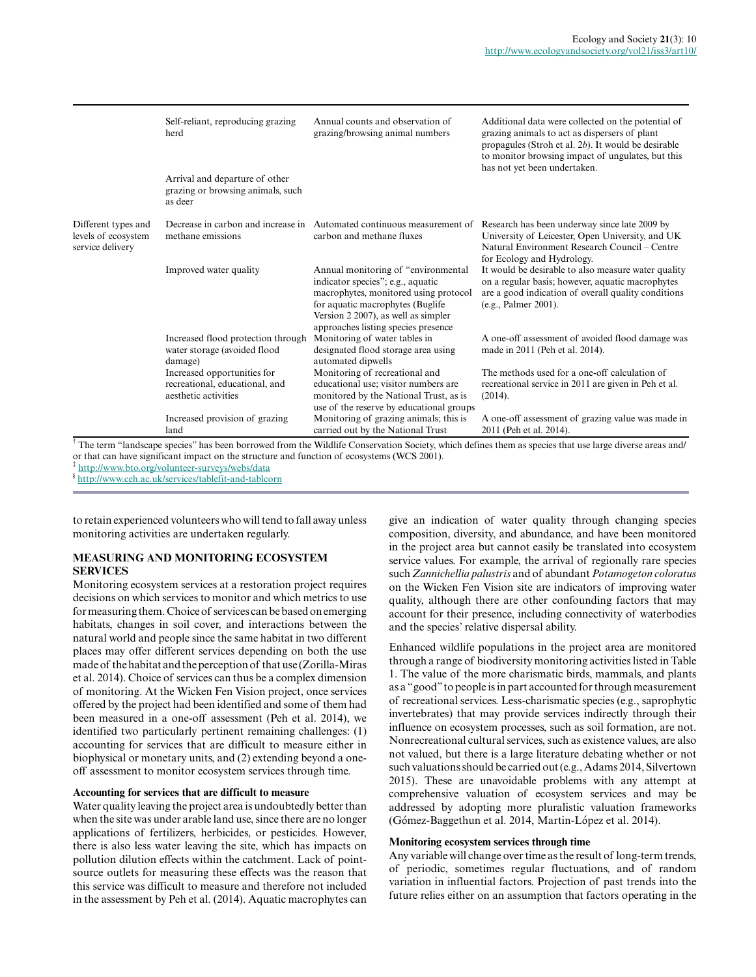|                                                                | Self-reliant, reproducing grazing<br>herd<br>Arrival and departure of other<br>grazing or browsing animals, such<br>as deer | Annual counts and observation of<br>grazing/browsing animal numbers                                                                                                                                                        | Additional data were collected on the potential of<br>grazing animals to act as dispersers of plant<br>propagules (Stroh et al. $2b$ ). It would be desirable<br>to monitor browsing impact of ungulates, but this<br>has not yet been undertaken.                                                                                                                         |  |  |
|----------------------------------------------------------------|-----------------------------------------------------------------------------------------------------------------------------|----------------------------------------------------------------------------------------------------------------------------------------------------------------------------------------------------------------------------|----------------------------------------------------------------------------------------------------------------------------------------------------------------------------------------------------------------------------------------------------------------------------------------------------------------------------------------------------------------------------|--|--|
| Different types and<br>levels of ecosystem<br>service delivery | Decrease in carbon and increase in<br>methane emissions<br>Improved water quality                                           | Automated continuous measurement of<br>carbon and methane fluxes<br>Annual monitoring of "environmental"<br>indicator species"; e.g., aquatic<br>macrophytes, monitored using protocol<br>for aquatic macrophytes (Buglife | Research has been underway since late 2009 by<br>University of Leicester, Open University, and UK<br>Natural Environment Research Council – Centre<br>for Ecology and Hydrology.<br>It would be desirable to also measure water quality<br>on a regular basis; however, aquatic macrophytes<br>are a good indication of overall quality conditions<br>(e.g., Palmer 2001). |  |  |
|                                                                | Increased flood protection through<br>water storage (avoided flood                                                          | Version 2 2007), as well as simpler<br>approaches listing species presence<br>Monitoring of water tables in<br>designated flood storage area using                                                                         | A one-off assessment of avoided flood damage was<br>made in 2011 (Peh et al. 2014).                                                                                                                                                                                                                                                                                        |  |  |
|                                                                | damage)<br>Increased opportunities for<br>recreational, educational, and<br>aesthetic activities                            | automated dipwells<br>Monitoring of recreational and<br>educational use; visitor numbers are<br>monitored by the National Trust, as is<br>use of the reserve by educational groups                                         | The methods used for a one-off calculation of<br>recreational service in 2011 are given in Peh et al.<br>(2014).                                                                                                                                                                                                                                                           |  |  |
|                                                                | Increased provision of grazing<br>land                                                                                      | Monitoring of grazing animals; this is<br>carried out by the National Trust                                                                                                                                                | A one-off assessment of grazing value was made in<br>2011 (Peh et al. 2014).                                                                                                                                                                                                                                                                                               |  |  |

† The term "landscape species" has been borrowed from the Wildlife Conservation Society, which defines them as species that use large diverse areas and/ or that can have significant impact on the structure and function of ecosystems (WCS 2001).

<http://www.bto.org/volunteer-surveys/webs/data>

§ <http://www.ceh.ac.uk/services/tablefit-and-tablcorn>

to retain experienced volunteers who will tend to fall away unless monitoring activities are undertaken regularly.

# **MEASURING AND MONITORING ECOSYSTEM SERVICES**

Monitoring ecosystem services at a restoration project requires decisions on which services to monitor and which metrics to use for measuring them. Choice of services can be based on emerging habitats, changes in soil cover, and interactions between the natural world and people since the same habitat in two different places may offer different services depending on both the use made of the habitat and the perception of that use (Zorilla-Miras et al. 2014). Choice of services can thus be a complex dimension of monitoring. At the Wicken Fen Vision project, once services offered by the project had been identified and some of them had been measured in a one-off assessment (Peh et al. 2014), we identified two particularly pertinent remaining challenges: (1) accounting for services that are difficult to measure either in biophysical or monetary units, and (2) extending beyond a oneoff assessment to monitor ecosystem services through time.

# **Accounting for services that are difficult to measure**

Water quality leaving the project area is undoubtedly better than when the site was under arable land use, since there are no longer applications of fertilizers, herbicides, or pesticides. However, there is also less water leaving the site, which has impacts on pollution dilution effects within the catchment. Lack of pointsource outlets for measuring these effects was the reason that this service was difficult to measure and therefore not included in the assessment by Peh et al. (2014). Aquatic macrophytes can

give an indication of water quality through changing species composition, diversity, and abundance, and have been monitored in the project area but cannot easily be translated into ecosystem service values. For example, the arrival of regionally rare species such *Zannichellia palustris* and of abundant *Potamogeton coloratus* on the Wicken Fen Vision site are indicators of improving water quality, although there are other confounding factors that may account for their presence, including connectivity of waterbodies and the species' relative dispersal ability.

Enhanced wildlife populations in the project area are monitored through a range of biodiversity monitoring activities listed in Table 1. The value of the more charismatic birds, mammals, and plants as a "good" to people is in part accounted for through measurement of recreational services. Less-charismatic species (e.g., saprophytic invertebrates) that may provide services indirectly through their influence on ecosystem processes, such as soil formation, are not. Nonrecreational cultural services, such as existence values, are also not valued, but there is a large literature debating whether or not such valuations should be carried out (e.g., Adams 2014, Silvertown 2015). These are unavoidable problems with any attempt at comprehensive valuation of ecosystem services and may be addressed by adopting more pluralistic valuation frameworks (Gόmez-Baggethun et al. 2014, Martin-Lόpez et al. 2014).

#### **Monitoring ecosystem services through time**

Any variable will change over time as the result of long-term trends, of periodic, sometimes regular fluctuations, and of random variation in influential factors. Projection of past trends into the future relies either on an assumption that factors operating in the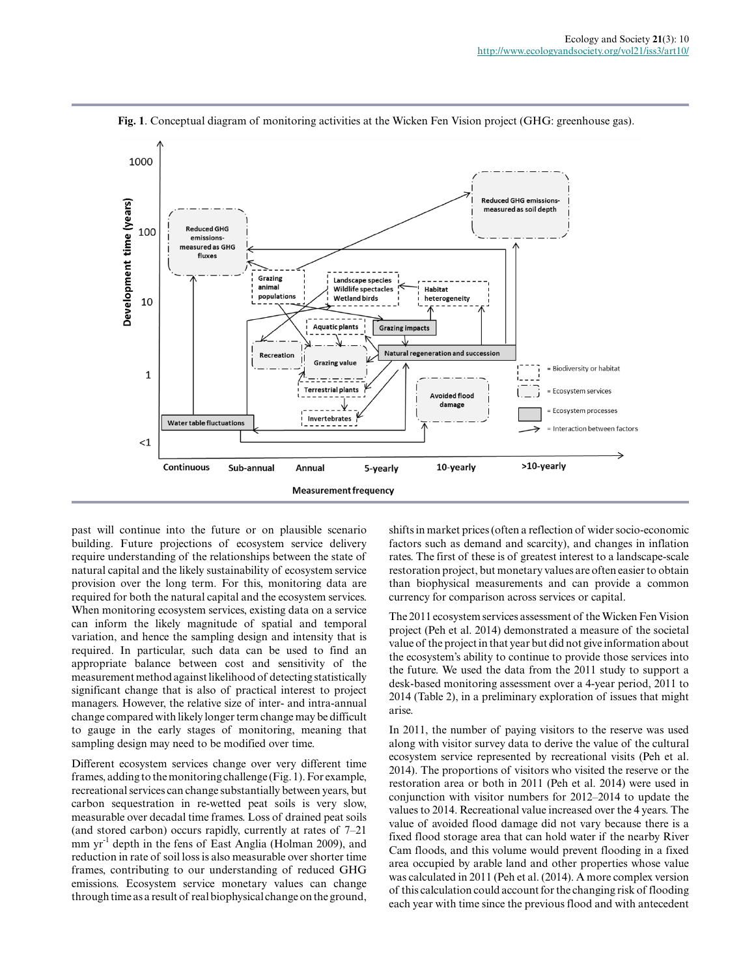

**Fig. 1**. Conceptual diagram of monitoring activities at the Wicken Fen Vision project (GHG: greenhouse gas).

past will continue into the future or on plausible scenario building. Future projections of ecosystem service delivery require understanding of the relationships between the state of natural capital and the likely sustainability of ecosystem service provision over the long term. For this, monitoring data are required for both the natural capital and the ecosystem services. When monitoring ecosystem services, existing data on a service can inform the likely magnitude of spatial and temporal variation, and hence the sampling design and intensity that is required. In particular, such data can be used to find an appropriate balance between cost and sensitivity of the measurement method against likelihood of detecting statistically significant change that is also of practical interest to project managers. However, the relative size of inter- and intra-annual change compared with likely longer term change may be difficult to gauge in the early stages of monitoring, meaning that sampling design may need to be modified over time.

Different ecosystem services change over very different time frames, adding to the monitoring challenge (Fig. 1). For example, recreational services can change substantially between years, but carbon sequestration in re-wetted peat soils is very slow, measurable over decadal time frames. Loss of drained peat soils (and stored carbon) occurs rapidly, currently at rates of 7–21 mm yr<sup>-1</sup> depth in the fens of East Anglia (Holman 2009), and reduction in rate of soil loss is also measurable over shorter time frames, contributing to our understanding of reduced GHG emissions. Ecosystem service monetary values can change through time as a result of real biophysical change on the ground,

shifts in market prices (often a reflection of wider socio-economic factors such as demand and scarcity), and changes in inflation rates. The first of these is of greatest interest to a landscape-scale restoration project, but monetary values are often easier to obtain than biophysical measurements and can provide a common currency for comparison across services or capital.

The 2011 ecosystem services assessment of the Wicken Fen Vision project (Peh et al. 2014) demonstrated a measure of the societal value of the project in that year but did not give information about the ecosystem's ability to continue to provide those services into the future. We used the data from the 2011 study to support a desk-based monitoring assessment over a 4-year period, 2011 to 2014 (Table 2), in a preliminary exploration of issues that might arise.

In 2011, the number of paying visitors to the reserve was used along with visitor survey data to derive the value of the cultural ecosystem service represented by recreational visits (Peh et al. 2014). The proportions of visitors who visited the reserve or the restoration area or both in 2011 (Peh et al. 2014) were used in conjunction with visitor numbers for 2012–2014 to update the values to 2014. Recreational value increased over the 4 years. The value of avoided flood damage did not vary because there is a fixed flood storage area that can hold water if the nearby River Cam floods, and this volume would prevent flooding in a fixed area occupied by arable land and other properties whose value was calculated in 2011 (Peh et al. (2014). A more complex version of this calculation could account for the changing risk of flooding each year with time since the previous flood and with antecedent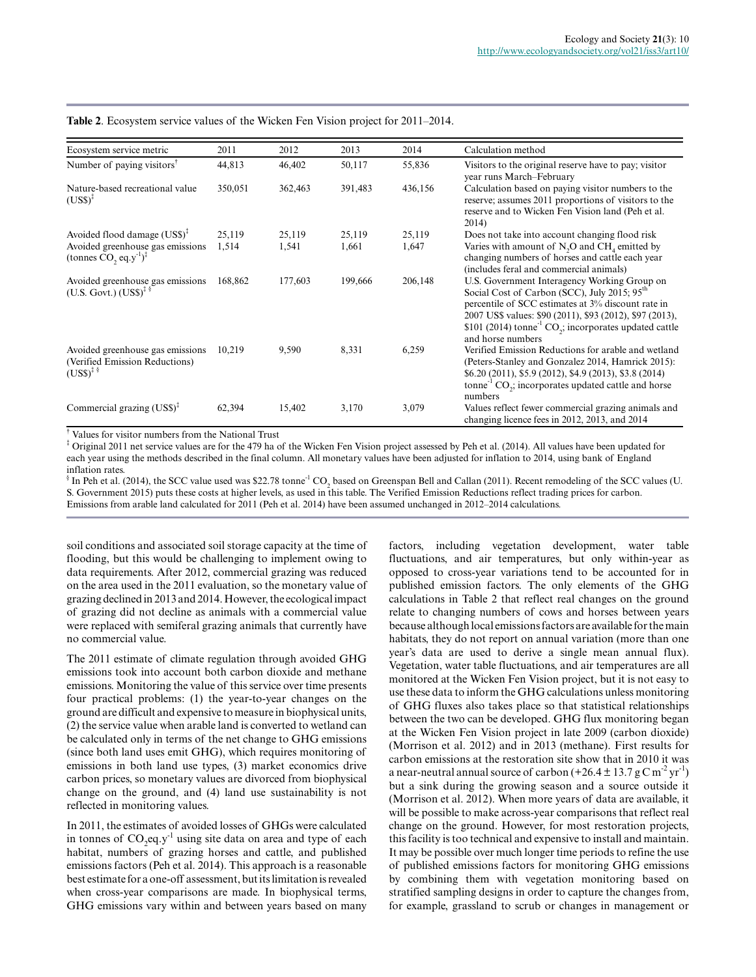| Ecosystem service metric                                                                              | 2011    | 2012    | 2013    | 2014    | Calculation method                                                                                                                                                                                                                                                                                                                |
|-------------------------------------------------------------------------------------------------------|---------|---------|---------|---------|-----------------------------------------------------------------------------------------------------------------------------------------------------------------------------------------------------------------------------------------------------------------------------------------------------------------------------------|
| Number of paying visitors <sup><math>\mathbf</math></sup>                                             | 44,813  | 46,402  | 50,117  | 55,836  | Visitors to the original reserve have to pay; visitor<br>year runs March-February                                                                                                                                                                                                                                                 |
| Nature-based recreational value<br>$(USS)^+$                                                          | 350,051 | 362,463 | 391,483 | 436,156 | Calculation based on paying visitor numbers to the<br>reserve; assumes 2011 proportions of visitors to the<br>reserve and to Wicken Fen Vision land (Peh et al.<br>2014)                                                                                                                                                          |
| Avoided flood damage $(US\$ )^+                                                                       | 25,119  | 25,119  | 25,119  | 25,119  | Does not take into account changing flood risk                                                                                                                                                                                                                                                                                    |
| Avoided greenhouse gas emissions<br>(tonnes CO, eq.y <sup>-1</sup> ) <sup><math>\ddagger</math></sup> | 1,514   | 1,541   | 1,661   | 1,647   | Varies with amount of $N2O$ and $CH4$ emitted by<br>changing numbers of horses and cattle each year<br>(includes feral and commercial animals)                                                                                                                                                                                    |
| Avoided greenhouse gas emissions<br>(U.S. Govt.) (USS) <sup>† §</sup>                                 | 168,862 | 177,603 | 199,666 | 206,148 | U.S. Government Interagency Working Group on<br>Social Cost of Carbon (SCC), July 2015; 95 <sup>th</sup><br>percentile of SCC estimates at 3% discount rate in<br>2007 US\$ values: \$90 (2011), \$93 (2012), \$97 (2013),<br>\$101 (2014) tonne <sup>-1</sup> CO <sub>2</sub> ; incorporates updated cattle<br>and horse numbers |
| Avoided greenhouse gas emissions<br>(Verified Emission Reductions)<br>$(USS)^{\ddagger}$              | 10,219  | 9,590   | 8,331   | 6,259   | Verified Emission Reductions for arable and wetland<br>(Peters-Stanley and Gonzalez 2014, Hamrick 2015):<br>\$6.20 (2011), \$5.9 (2012), \$4.9 (2013), \$3.8 (2014)<br>tonne <sup>-1</sup> CO <sub>2</sub> ; incorporates updated cattle and horse<br>numbers                                                                     |
| Commercial grazing $(USS)^{T}$                                                                        | 62,394  | 15,402  | 3,170   | 3,079   | Values reflect fewer commercial grazing animals and<br>changing licence fees in 2012, 2013, and 2014                                                                                                                                                                                                                              |

**Table 2**. Ecosystem service values of the Wicken Fen Vision project for 2011–2014.

† Values for visitor numbers from the National Trust

‡ Original 2011 net service values are for the 479 ha of the Wicken Fen Vision project assessed by Peh et al. (2014). All values have been updated for each year using the methods described in the final column. All monetary values have been adjusted for inflation to 2014, using bank of England inflation rates.

 $\frac{1}{8}$  In Peh et al. (2014), the SCC value used was \$22.78 tonne<sup>-1</sup> CO<sub>2</sub> based on Greenspan Bell and Callan (2011). Recent remodeling of the SCC values (U. S. Government 2015) puts these costs at higher levels, as used in this table. The Verified Emission Reductions reflect trading prices for carbon. Emissions from arable land calculated for 2011 (Peh et al. 2014) have been assumed unchanged in 2012–2014 calculations.

soil conditions and associated soil storage capacity at the time of flooding, but this would be challenging to implement owing to data requirements. After 2012, commercial grazing was reduced on the area used in the 2011 evaluation, so the monetary value of grazing declined in 2013 and 2014. However, the ecological impact of grazing did not decline as animals with a commercial value were replaced with semiferal grazing animals that currently have no commercial value.

The 2011 estimate of climate regulation through avoided GHG emissions took into account both carbon dioxide and methane emissions. Monitoring the value of this service over time presents four practical problems: (1) the year-to-year changes on the ground are difficult and expensive to measure in biophysical units, (2) the service value when arable land is converted to wetland can be calculated only in terms of the net change to GHG emissions (since both land uses emit GHG), which requires monitoring of emissions in both land use types, (3) market economics drive carbon prices, so monetary values are divorced from biophysical change on the ground, and (4) land use sustainability is not reflected in monitoring values.

In 2011, the estimates of avoided losses of GHGs were calculated in tonnes of  $CO_2$ eq.y<sup>-1</sup> using site data on area and type of each habitat, numbers of grazing horses and cattle, and published emissions factors (Peh et al. 2014). This approach is a reasonable best estimate for a one-off assessment, but its limitation is revealed when cross-year comparisons are made. In biophysical terms, GHG emissions vary within and between years based on many factors, including vegetation development, water table fluctuations, and air temperatures, but only within-year as opposed to cross-year variations tend to be accounted for in published emission factors. The only elements of the GHG calculations in Table 2 that reflect real changes on the ground relate to changing numbers of cows and horses between years because although local emissions factors are available for the main habitats, they do not report on annual variation (more than one year's data are used to derive a single mean annual flux). Vegetation, water table fluctuations, and air temperatures are all monitored at the Wicken Fen Vision project, but it is not easy to use these data to inform the GHG calculations unless monitoring of GHG fluxes also takes place so that statistical relationships between the two can be developed. GHG flux monitoring began at the Wicken Fen Vision project in late 2009 (carbon dioxide) (Morrison et al. 2012) and in 2013 (methane). First results for carbon emissions at the restoration site show that in 2010 it was a near-neutral annual source of carbon  $(+26.4 \pm 13.7 \text{ g C m}^{-2} \text{ yr}^{-1})$ but a sink during the growing season and a source outside it (Morrison et al. 2012). When more years of data are available, it will be possible to make across-year comparisons that reflect real change on the ground. However, for most restoration projects, this facility is too technical and expensive to install and maintain. It may be possible over much longer time periods to refine the use of published emissions factors for monitoring GHG emissions by combining them with vegetation monitoring based on stratified sampling designs in order to capture the changes from, for example, grassland to scrub or changes in management or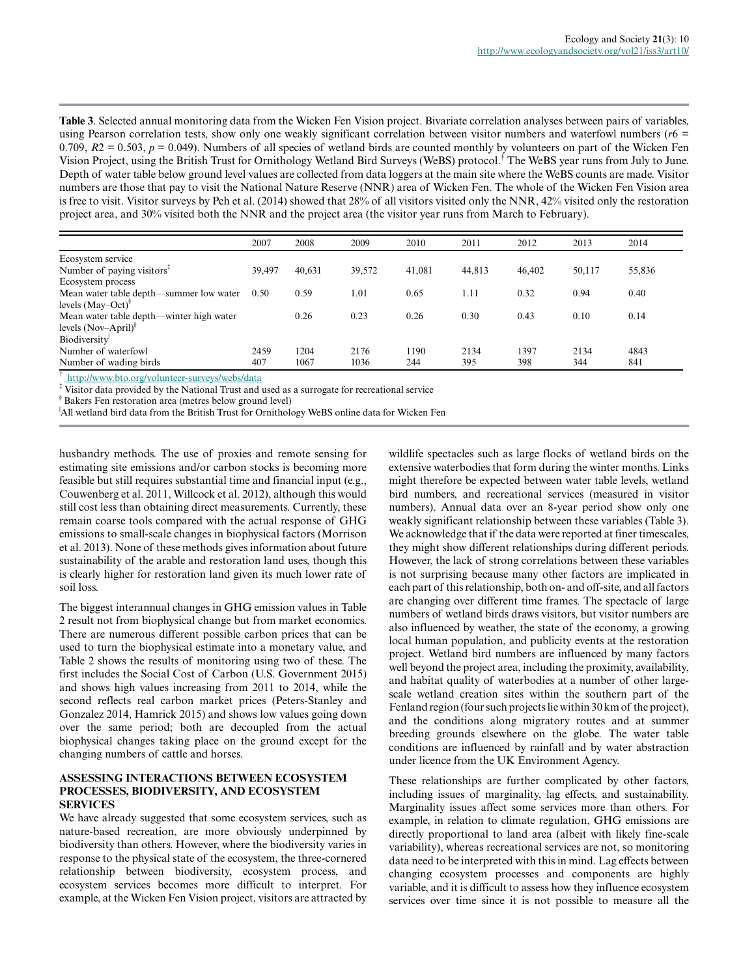**Table 3**. Selected annual monitoring data from the Wicken Fen Vision project. Bivariate correlation analyses between pairs of variables, using Pearson correlation tests, show only one weakly significant correlation between visitor numbers and waterfowl numbers (*r*6 = 0.709,  $R2 = 0.503$ ,  $p = 0.049$ ). Numbers of all species of wetland birds are counted monthly by volunteers on part of the Wicken Fen Vision Project, using the British Trust for Ornithology Wetland Bird Surveys (WeBS) protocol.† The WeBS year runs from July to June. Depth of water table below ground level values are collected from data loggers at the main site where the WeBS counts are made. Visitor numbers are those that pay to visit the National Nature Reserve (NNR) area of Wicken Fen. The whole of the Wicken Fen Vision area is free to visit. Visitor surveys by Peh et al. (2014) showed that 28% of all visitors visited only the NNR, 42% visited only the restoration project area, and 30% visited both the NNR and the project area (the visitor year runs from March to February).

|                                          | 2007   | 2008   | 2009   | 2010   | 2011   | 2012   | 2013   | 2014   |
|------------------------------------------|--------|--------|--------|--------|--------|--------|--------|--------|
| Ecosystem service                        |        |        |        |        |        |        |        |        |
| Number of paying visitors $\bar{f}$      | 39.497 | 40.631 | 39,572 | 41,081 | 44,813 | 46,402 | 50,117 | 55,836 |
| Ecosystem process                        |        |        |        |        |        |        |        |        |
| Mean water table depth—summer low water  | 0.50   | 0.59   | 1.01   | 0.65   | 1.11   | 0.32   | 0.94   | 0.40   |
| levels $(May-Oct)^8$                     |        |        |        |        |        |        |        |        |
| Mean water table depth—winter high water |        | 0.26   | 0.23   | 0.26   | 0.30   | 0.43   | 0.10   | 0.14   |
| levels $(Nov-April)^{8}$                 |        |        |        |        |        |        |        |        |
| Biodiversity                             |        |        |        |        |        |        |        |        |
| Number of waterfowl                      | 2459   | 1204   | 2176   | 1190   | 2134   | 1397   | 2134   | 4843   |
| Number of wading birds                   | 407    | 1067   | 1036   | 244    | 395    | 398    | 344    | 841    |

† <http://www.bto.org/volunteer-surveys/webs/data>

‡ Visitor data provided by the National Trust and used as a surrogate for recreational service

§ Bakers Fen restoration area (metres below ground level)

<sup>|</sup>All wetland bird data from the British Trust for Ornithology WeBS online data for Wicken Fen

husbandry methods. The use of proxies and remote sensing for estimating site emissions and/or carbon stocks is becoming more feasible but still requires substantial time and financial input (e.g., Couwenberg et al. 2011, Willcock et al. 2012), although this would still cost less than obtaining direct measurements. Currently, these remain coarse tools compared with the actual response of GHG emissions to small-scale changes in biophysical factors (Morrison et al. 2013). None of these methods gives information about future sustainability of the arable and restoration land uses, though this is clearly higher for restoration land given its much lower rate of soil loss.

The biggest interannual changes in GHG emission values in Table 2 result not from biophysical change but from market economics. There are numerous different possible carbon prices that can be used to turn the biophysical estimate into a monetary value, and Table 2 shows the results of monitoring using two of these. The first includes the Social Cost of Carbon (U.S. Government 2015) and shows high values increasing from 2011 to 2014, while the second reflects real carbon market prices (Peters-Stanley and Gonzalez 2014, Hamrick 2015) and shows low values going down over the same period; both are decoupled from the actual biophysical changes taking place on the ground except for the changing numbers of cattle and horses.

## **ASSESSING INTERACTIONS BETWEEN ECOSYSTEM PROCESSES, BIODIVERSITY, AND ECOSYSTEM SERVICES**

We have already suggested that some ecosystem services, such as nature-based recreation, are more obviously underpinned by biodiversity than others. However, where the biodiversity varies in response to the physical state of the ecosystem, the three-cornered relationship between biodiversity, ecosystem process, and ecosystem services becomes more difficult to interpret. For example, at the Wicken Fen Vision project, visitors are attracted by

wildlife spectacles such as large flocks of wetland birds on the extensive waterbodies that form during the winter months. Links might therefore be expected between water table levels, wetland bird numbers, and recreational services (measured in visitor numbers). Annual data over an 8-year period show only one weakly significant relationship between these variables (Table 3). We acknowledge that if the data were reported at finer timescales, they might show different relationships during different periods. However, the lack of strong correlations between these variables is not surprising because many other factors are implicated in each part of this relationship, both on- and off-site, and all factors are changing over different time frames. The spectacle of large numbers of wetland birds draws visitors, but visitor numbers are also influenced by weather, the state of the economy, a growing local human population, and publicity events at the restoration project. Wetland bird numbers are influenced by many factors well beyond the project area, including the proximity, availability, and habitat quality of waterbodies at a number of other largescale wetland creation sites within the southern part of the Fenland region (four such projects lie within 30 km of the project), and the conditions along migratory routes and at summer breeding grounds elsewhere on the globe. The water table conditions are influenced by rainfall and by water abstraction under licence from the UK Environment Agency.

These relationships are further complicated by other factors, including issues of marginality, lag effects, and sustainability. Marginality issues affect some services more than others. For example, in relation to climate regulation, GHG emissions are directly proportional to land area (albeit with likely fine-scale variability), whereas recreational services are not, so monitoring data need to be interpreted with this in mind. Lag effects between changing ecosystem processes and components are highly variable, and it is difficult to assess how they influence ecosystem services over time since it is not possible to measure all the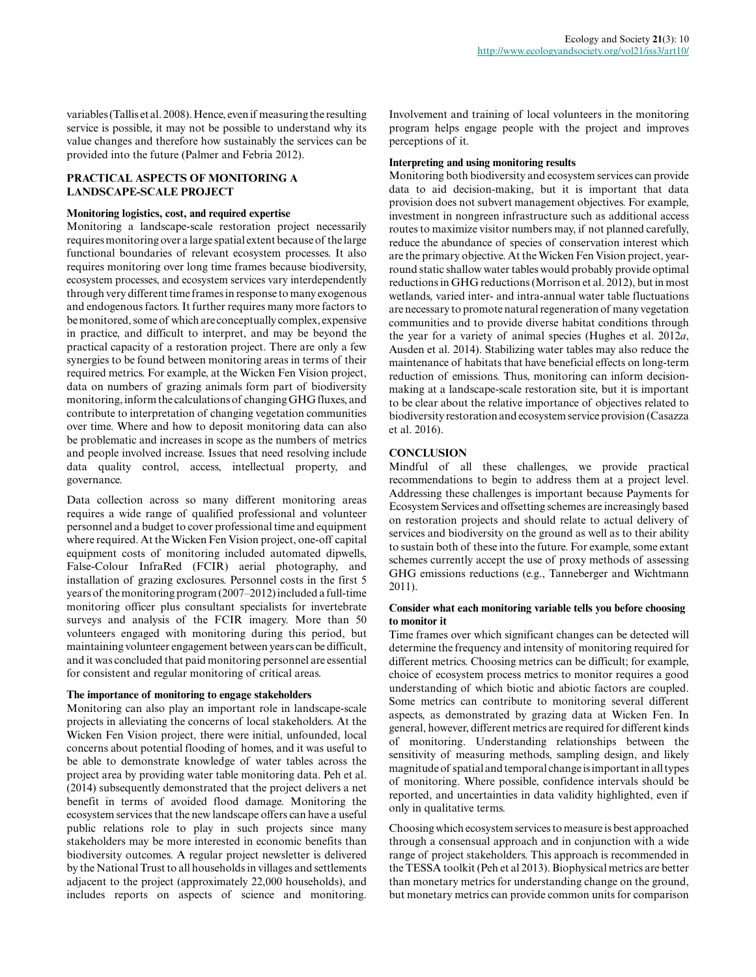variables (Tallis et al. 2008). Hence, even if measuring the resulting service is possible, it may not be possible to understand why its value changes and therefore how sustainably the services can be provided into the future (Palmer and Febria 2012).

# **PRACTICAL ASPECTS OF MONITORING A LANDSCAPE-SCALE PROJECT**

#### **Monitoring logistics, cost, and required expertise**

Monitoring a landscape-scale restoration project necessarily requires monitoring over a large spatial extent because of the large functional boundaries of relevant ecosystem processes. It also requires monitoring over long time frames because biodiversity, ecosystem processes, and ecosystem services vary interdependently through very different time frames in response to many exogenous and endogenous factors. It further requires many more factors to be monitored, some of which are conceptually complex, expensive in practice, and difficult to interpret, and may be beyond the practical capacity of a restoration project. There are only a few synergies to be found between monitoring areas in terms of their required metrics. For example, at the Wicken Fen Vision project, data on numbers of grazing animals form part of biodiversity monitoring, inform the calculations of changing GHG fluxes, and contribute to interpretation of changing vegetation communities over time. Where and how to deposit monitoring data can also be problematic and increases in scope as the numbers of metrics and people involved increase. Issues that need resolving include data quality control, access, intellectual property, and governance.

Data collection across so many different monitoring areas requires a wide range of qualified professional and volunteer personnel and a budget to cover professional time and equipment where required. At the Wicken Fen Vision project, one-off capital equipment costs of monitoring included automated dipwells, False-Colour InfraRed (FCIR) aerial photography, and installation of grazing exclosures. Personnel costs in the first 5 years of the monitoring program (2007–2012) included a full-time monitoring officer plus consultant specialists for invertebrate surveys and analysis of the FCIR imagery. More than 50 volunteers engaged with monitoring during this period, but maintaining volunteer engagement between years can be difficult, and it was concluded that paid monitoring personnel are essential for consistent and regular monitoring of critical areas.

#### **The importance of monitoring to engage stakeholders**

Monitoring can also play an important role in landscape-scale projects in alleviating the concerns of local stakeholders. At the Wicken Fen Vision project, there were initial, unfounded, local concerns about potential flooding of homes, and it was useful to be able to demonstrate knowledge of water tables across the project area by providing water table monitoring data. Peh et al. (2014) subsequently demonstrated that the project delivers a net benefit in terms of avoided flood damage. Monitoring the ecosystem services that the new landscape offers can have a useful public relations role to play in such projects since many stakeholders may be more interested in economic benefits than biodiversity outcomes. A regular project newsletter is delivered by the National Trust to all households in villages and settlements adjacent to the project (approximately 22,000 households), and includes reports on aspects of science and monitoring.

Involvement and training of local volunteers in the monitoring program helps engage people with the project and improves perceptions of it.

## **Interpreting and using monitoring results**

Monitoring both biodiversity and ecosystem services can provide data to aid decision-making, but it is important that data provision does not subvert management objectives. For example, investment in nongreen infrastructure such as additional access routes to maximize visitor numbers may, if not planned carefully, reduce the abundance of species of conservation interest which are the primary objective. At the Wicken Fen Vision project, yearround static shallow water tables would probably provide optimal reductions in GHG reductions (Morrison et al. 2012), but in most wetlands, varied inter- and intra-annual water table fluctuations are necessary to promote natural regeneration of many vegetation communities and to provide diverse habitat conditions through the year for a variety of animal species (Hughes et al. 2012*a*, Ausden et al. 2014). Stabilizing water tables may also reduce the maintenance of habitats that have beneficial effects on long-term reduction of emissions. Thus, monitoring can inform decisionmaking at a landscape-scale restoration site, but it is important to be clear about the relative importance of objectives related to biodiversity restoration and ecosystem service provision (Casazza et al. 2016).

#### **CONCLUSION**

Mindful of all these challenges, we provide practical recommendations to begin to address them at a project level. Addressing these challenges is important because Payments for Ecosystem Services and offsetting schemes are increasingly based on restoration projects and should relate to actual delivery of services and biodiversity on the ground as well as to their ability to sustain both of these into the future. For example, some extant schemes currently accept the use of proxy methods of assessing GHG emissions reductions (e.g., Tanneberger and Wichtmann 2011).

#### **Consider what each monitoring variable tells you before choosing to monitor it**

Time frames over which significant changes can be detected will determine the frequency and intensity of monitoring required for different metrics. Choosing metrics can be difficult; for example, choice of ecosystem process metrics to monitor requires a good understanding of which biotic and abiotic factors are coupled. Some metrics can contribute to monitoring several different aspects, as demonstrated by grazing data at Wicken Fen. In general, however, different metrics are required for different kinds of monitoring. Understanding relationships between the sensitivity of measuring methods, sampling design, and likely magnitude of spatial and temporal change is important in all types of monitoring. Where possible, confidence intervals should be reported, and uncertainties in data validity highlighted, even if only in qualitative terms.

Choosing which ecosystem services to measure is best approached through a consensual approach and in conjunction with a wide range of project stakeholders. This approach is recommended in the TESSA toolkit (Peh et al 2013). Biophysical metrics are better than monetary metrics for understanding change on the ground, but monetary metrics can provide common units for comparison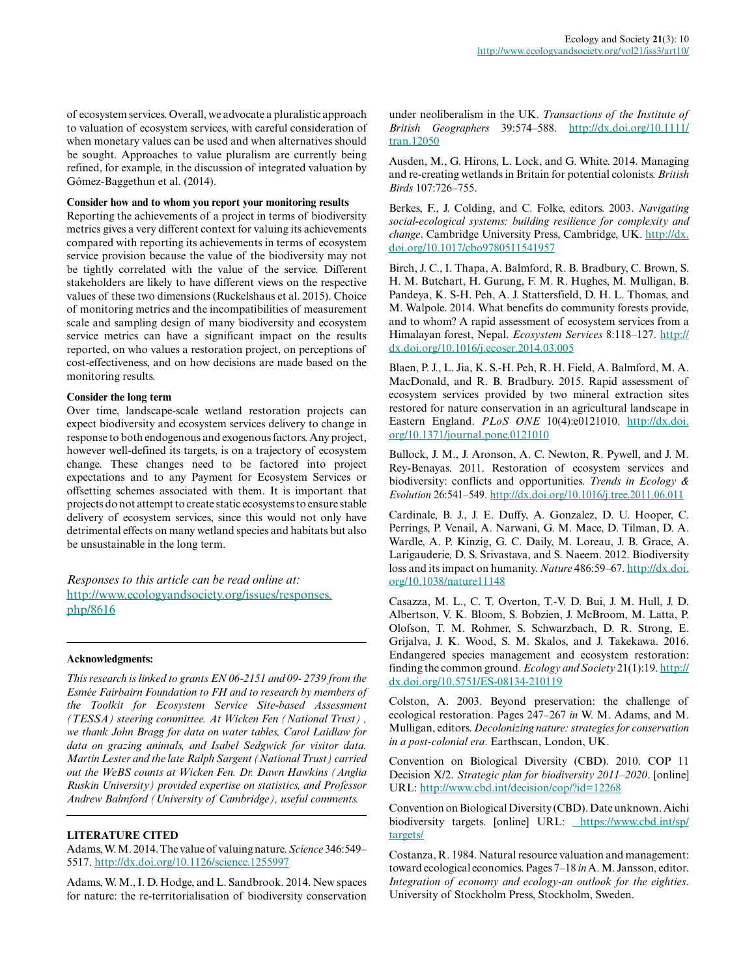of ecosystem services. Overall, we advocate a pluralistic approach to valuation of ecosystem services, with careful consideration of when monetary values can be used and when alternatives should be sought. Approaches to value pluralism are currently being refined, for example, in the discussion of integrated valuation by Gómez-Baggethun et al. (2014).

# **Consider how and to whom you report your monitoring results**

Reporting the achievements of a project in terms of biodiversity metrics gives a very different context for valuing its achievements compared with reporting its achievements in terms of ecosystem service provision because the value of the biodiversity may not be tightly correlated with the value of the service. Different stakeholders are likely to have different views on the respective values of these two dimensions (Ruckelshaus et al. 2015). Choice of monitoring metrics and the incompatibilities of measurement scale and sampling design of many biodiversity and ecosystem service metrics can have a significant impact on the results reported, on who values a restoration project, on perceptions of cost-effectiveness, and on how decisions are made based on the monitoring results.

#### **Consider the long term**

Over time, landscape-scale wetland restoration projects can expect biodiversity and ecosystem services delivery to change in response to both endogenous and exogenous factors. Any project, however well-defined its targets, is on a trajectory of ecosystem change. These changes need to be factored into project expectations and to any Payment for Ecosystem Services or offsetting schemes associated with them. It is important that projects do not attempt to create static ecosystems to ensure stable delivery of ecosystem services, since this would not only have detrimental effects on many wetland species and habitats but also be unsustainable in the long term.

*Responses to this article can be read online at:* [http://www.ecologyandsociety.org/issues/responses.](http://www.ecologyandsociety.org/issues/responses.php/8616) [php/8616](http://www.ecologyandsociety.org/issues/responses.php/8616)

#### **Acknowledgments:**

*This research is linked to grants EN 06-2151 and 09- 2739 from the Esmée Fairbairn Foundation to FH and to research by members of the Toolkit for Ecosystem Service Site-based Assessment (TESSA) steering committee. At Wicken Fen (National Trust) , we thank John Bragg for data on water tables, Carol Laidlaw for data on grazing animals, and Isabel Sedgwick for visitor data. Martin Lester and the late Ralph Sargent (National Trust) carried out the WeBS counts at Wicken Fen. Dr. Dawn Hawkins (Anglia Ruskin University) provided expertise on statistics, and Professor Andrew Balmford (University of Cambridge), useful comments.*

#### **LITERATURE CITED**

Adams, W. M. 2014. The value of valuing nature. *Science* 346:549– 5517. [http://dx.doi.org/10.1126/science.1255997](http://dx.doi.org/10.1126%2Fscience.1255997)

Adams, W. M., I. D. Hodge, and L. Sandbrook. 2014. New spaces for nature: the re-territorialisation of biodiversity conservation under neoliberalism in the UK. *Transactions of the Institute of British Geographers* 39:574–588. [http://dx.doi.org/10.1111/](http://dx.doi.org/10.1111%2Ftran.12050) [tran.12050](http://dx.doi.org/10.1111%2Ftran.12050) 

Ausden, M., G. Hirons, L. Lock, and G. White. 2014. Managing and re-creating wetlands in Britain for potential colonists. *British Birds* 107:726–755.

Berkes, F., J. Colding, and C. Folke, editors. 2003. *Navigating social-ecological systems: building resilience for complexity and change*. Cambridge University Press, Cambridge, UK. [http://dx.](http://dx.doi.org/10.1017%2Fcbo9780511541957) [doi.org/10.1017/cbo9780511541957](http://dx.doi.org/10.1017%2Fcbo9780511541957)

Birch, J. C., I. Thapa, A. Balmford, R. B. Bradbury, C. Brown, S. H. M. Butchart, H. Gurung, F. M. R. Hughes, M. Mulligan, B. Pandeya, K. S-H. Peh, A. J. Stattersfield, D. H. L. Thomas, and M. Walpole. 2014. What benefits do community forests provide, and to whom? A rapid assessment of ecosystem services from a Himalayan forest, Nepal. *Ecosystem Services* 8:118–127. [http://](http://dx.doi.org/10.1016%2Fj.ecoser.2014.03.005) [dx.doi.org/10.1016/j.ecoser.2014.03.005](http://dx.doi.org/10.1016%2Fj.ecoser.2014.03.005) 

Blaen, P. J., L. Jia, K. S.-H. Peh, R. H. Field, A. Balmford, M. A. MacDonald, and R. B. Bradbury. 2015. Rapid assessment of ecosystem services provided by two mineral extraction sites restored for nature conservation in an agricultural landscape in Eastern England. *PLoS ONE* 10(4):e0121010. [http://dx.doi.](http://dx.doi.org/10.1371%2Fjournal.pone.0121010) [org/10.1371/journal.pone.0121010](http://dx.doi.org/10.1371%2Fjournal.pone.0121010) 

Bullock, J. M., J. Aronson, A. C. Newton, R. Pywell, and J. M. Rey-Benayas. 2011. Restoration of ecosystem services and biodiversity: conflicts and opportunities. *Trends in Ecology & Evolution* 26:541–549. [http://dx.doi.org/10.1016/j.tree.2011.06.011](http://dx.doi.org/10.1016%2Fj.tree.2011.06.011) 

Cardinale, B. J., J. E. Duffy, A. Gonzalez, D. U. Hooper, C. Perrings, P. Venail, A. Narwani, G. M. Mace, D. Tilman, D. A. Wardle, A. P. Kinzig, G. C. Daily, M. Loreau, J. B. Grace, A. Larigauderie, D. S. Srivastava, and S. Naeem. 2012. Biodiversity loss and its impact on humanity. *Nature* 486:59–67. [http://dx.doi.](http://dx.doi.org/10.1038%2Fnature11148) [org/10.1038/nature11148](http://dx.doi.org/10.1038%2Fnature11148)

Casazza, M. L., C. T. Overton, T.-V. D. Bui, J. M. Hull, J. D. Albertson, V. K. Bloom, S. Bobzien, J. McBroom, M. Latta, P. Olofson, T. M. Rohmer, S. Schwarzbach, D. R. Strong, E. Grijalva, J. K. Wood, S. M. Skalos, and J. Takekawa. 2016. Endangered species management and ecosystem restoration: finding the common ground. *Ecology and Society* 21(1):19. [http://](http://dx.doi.org/10.5751%2FES-08134-210119) [dx.doi.org/10.5751/ES-08134-210119](http://dx.doi.org/10.5751%2FES-08134-210119)

Colston, A. 2003. Beyond preservation: the challenge of ecological restoration. Pages 247–267 *in* W. M. Adams, and M. Mulligan, editors. *Decolonizing nature: strategies for conservation in a post-colonial era*. Earthscan, London, UK.

Convention on Biological Diversity (CBD). 2010. COP 11 Decision X/2. *Strategic plan for biodiversity 2011–2020*. [online] URL:<http://www.cbd.int/decision/cop/?id=12268>

Convention on Biological Diversity (CBD). Date unknown. Aichi biodiversity targets. [online] URL: [https://www.cbd.int/sp/](https://www.cbd.int/sp/targets/) [targets/](https://www.cbd.int/sp/targets/)

Costanza, R. 1984. Natural resource valuation and management: toward ecological economics. Pages 7–18 *in* A. M. Jansson, editor. *Integration of economy and ecology-an outlook for the eighties*. University of Stockholm Press, Stockholm, Sweden.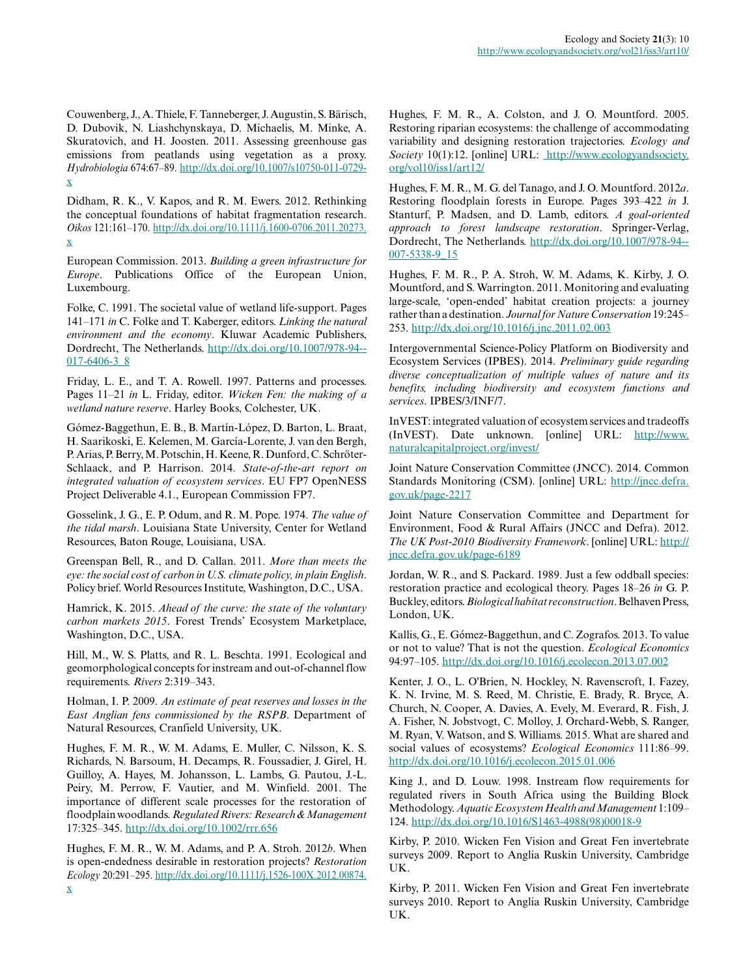Couwenberg, J., A. Thiele, F. Tanneberger, J. Augustin, S. Bärisch, D. Dubovik, N. Liashchynskaya, D. Michaelis, M. Minke, A. Skuratovich, and H. Joosten. 2011. Assessing greenhouse gas emissions from peatlands using vegetation as a proxy. *Hydrobiologia* 674:67–89. [http://dx.doi.org/10.1007/s10750-011-0729](http://dx.doi.org/10.1007%2Fs10750-011-0729-x) [x](http://dx.doi.org/10.1007%2Fs10750-011-0729-x)

Didham, R. K., V. Kapos, and R. M. Ewers. 2012. Rethinking the conceptual foundations of habitat fragmentation research. *Oikos* 121:161–170. [http://dx.doi.org/10.1111/j.1600-0706.2011.20273.](http://dx.doi.org/10.1111%2Fj.1600-0706.2011.20273.x) [x](http://dx.doi.org/10.1111%2Fj.1600-0706.2011.20273.x)

European Commission. 2013. *Building a green infrastructure for Europe*. Publications Office of the European Union, Luxembourg.

Folke, C. 1991. The societal value of wetland life-support. Pages 141–171 *in* C. Folke and T. Kaberger, editors. *Linking the natural environment and the economy*. Kluwar Academic Publishers, Dordrecht, The Netherlands. [http://dx.doi.org/10.1007/978-94-](http://dx.doi.org/10.1007%2F978-94-017-6406-3_8) [017-6406-3\\_8](http://dx.doi.org/10.1007%2F978-94-017-6406-3_8) 

Friday, L. E., and T. A. Rowell. 1997. Patterns and processes. Pages 11–21 *in* L. Friday, editor. *Wicken Fen: the making of a wetland nature reserve*. Harley Books, Colchester, UK.

Gómez-Baggethun, E. B., B. Martín-López, D. Barton, L. Braat, H. Saarikoski, E. Kelemen, M. García-Lorente, J. van den Bergh, P. Arias, P. Berry, M. Potschin, H. Keene, R. Dunford, C. Schröter-Schlaack, and P. Harrison. 2014. *State-of-the-art report on integrated valuation of ecosystem services*. EU FP7 OpenNESS Project Deliverable 4.1., European Commission FP7.

Gosselink, J. G., E. P. Odum, and R. M. Pope. 1974. *The value of the tidal marsh*. Louisiana State University, Center for Wetland Resources, Baton Rouge, Louisiana, USA.

Greenspan Bell, R., and D. Callan. 2011. *More than meets the eye: the social cost of carbon in U.S. climate policy, in plain English*. Policy brief. World Resources Institute, Washington, D.C., USA.

Hamrick, K. 2015. *Ahead of the curve: the state of the voluntary carbon markets 2015*. Forest Trends' Ecosystem Marketplace, Washington, D.C., USA.

Hill, M., W. S. Platts, and R. L. Beschta. 1991. Ecological and geomorphological concepts for instream and out-of-channel flow requirements. *Rivers* 2:319–343.

Holman, I. P. 2009. *An estimate of peat reserves and losses in the East Anglian fens commissioned by the RSPB*. Department of Natural Resources, Cranfield University, UK.

Hughes, F. M. R., W. M. Adams, E. Muller, C. Nilsson, K. S. Richards, N. Barsoum, H. Decamps, R. Foussadier, J. Girel, H. Guilloy, A. Hayes, M. Johansson, L. Lambs, G. Pautou, J.-L. Peiry, M. Perrow, F. Vautier, and M. Winfield. 2001. The importance of different scale processes for the restoration of floodplain woodlands. *Regulated Rivers: Research & Management* 17:325–345. [http://dx.doi.org/10.1002/rrr.656](http://dx.doi.org/10.1002%2Frrr.656) 

Hughes, F. M. R., W. M. Adams, and P. A. Stroh. 2012*b*. When is open-endedness desirable in restoration projects? *Restoration Ecology* 20:291–295. [http://dx.doi.org/10.1111/j.1526-100X.2012.00874.](http://dx.doi.org/10.1111%2Fj.1526-100X.2012.00874.x) Hughes, F. M. R., A. Colston, and J. O. Mountford. 2005. Restoring riparian ecosystems: the challenge of accommodating variability and designing restoration trajectories. *Ecology and Society* 10(1):12. [online] URL: [http://www.ecologyandsociety.](http://www.ecologyandsociety.org/vol10/iss1/art12/) [org/vol10/iss1/art12/](http://www.ecologyandsociety.org/vol10/iss1/art12/)

Hughes, F. M. R., M. G. del Tanago, and J. O. Mountford. 2012*a*. Restoring floodplain forests in Europe. Pages 393–422 *in* J. Stanturf, P. Madsen, and D. Lamb, editors. *A goal-oriented approach to forest landscape restoration*. Springer-Verlag, Dordrecht, The Netherlands. [http://dx.doi.org/10.1007/978-94-](http://dx.doi.org/10.1007%2F978-94-007-5338-9_15) [007-5338-9\\_15](http://dx.doi.org/10.1007%2F978-94-007-5338-9_15)

Hughes, F. M. R., P. A. Stroh, W. M. Adams, K. Kirby, J. O. Mountford, and S. Warrington. 2011. Monitoring and evaluating large-scale, 'open-ended' habitat creation projects: a journey rather than a destination. *Journal for Nature Conservation* 19:245– 253. [http://dx.doi.org/10.1016/j.jnc.2011.02.003](http://dx.doi.org/10.1016%2Fj.jnc.2011.02.003) 

Intergovernmental Science-Policy Platform on Biodiversity and Ecosystem Services (IPBES). 2014. *Preliminary guide regarding diverse conceptualization of multiple values of nature and its benefits, including biodiversity and ecosystem functions and services*. IPBES/3/INF/7.

InVEST: integrated valuation of ecosystem services and tradeoffs (InVEST). Date unknown. [online] URL: [http://www.](http://www.naturalcapitalproject.org/invest/) [naturalcapitalproject.org/invest/](http://www.naturalcapitalproject.org/invest/) 

Joint Nature Conservation Committee (JNCC). 2014. Common Standards Monitoring (CSM). [online] URL: [http://jncc.defra.](http://jncc.defra.gov.uk/page-2217) [gov.uk/page-2217](http://jncc.defra.gov.uk/page-2217) 

Joint Nature Conservation Committee and Department for Environment, Food & Rural Affairs (JNCC and Defra). 2012. *The UK Post-2010 Biodiversity Framework*. [online] URL: [http://](http://jncc.defra.gov.uk/page-6189) [jncc.defra.gov.uk/page-6189](http://jncc.defra.gov.uk/page-6189)

Jordan, W. R., and S. Packard. 1989. Just a few oddball species: restoration practice and ecological theory. Pages 18–26 *in* G. P. Buckley, editors. *Biological habitat reconstruction*. Belhaven Press, London, UK.

Kallis, G., E. Gόmez-Baggethun, and C. Zografos. 2013. To value or not to value? That is not the question. *Ecological Economics* 94:97–105. [http://dx.doi.org/10.1016/j.ecolecon.2013.07.002](http://dx.doi.org/10.1016%2Fj.ecolecon.2013.07.002)

Kenter, J. O., L. O'Brien, N. Hockley, N. Ravenscroft, I. Fazey, K. N. Irvine, M. S. Reed, M. Christie, E. Brady, R. Bryce, A. Church, N. Cooper, A. Davies, A. Evely, M. Everard, R. Fish, J. A. Fisher, N. Jobstvogt, C. Molloy, J. Orchard-Webb, S. Ranger, M. Ryan, V. Watson, and S. Williams. 2015. What are shared and social values of ecosystems? *Ecological Economics* 111:86–99. [http://dx.doi.org/10.1016/j.ecolecon.2015.01.006](http://dx.doi.org/10.1016%2Fj.ecolecon.2015.01.006)

King J., and D. Louw. 1998. Instream flow requirements for regulated rivers in South Africa using the Building Block Methodology. *Aquatic Ecosystem Health and Management* 1:109– 124. [http://dx.doi.org/10.1016/S1463-4988\(98\)00018-9](http://dx.doi.org/10.1016%2FS1463-4988%2898%2900018-9)

Kirby, P. 2010. Wicken Fen Vision and Great Fen invertebrate surveys 2009. Report to Anglia Ruskin University, Cambridge UK.

Kirby, P. 2011. Wicken Fen Vision and Great Fen invertebrate surveys 2010. Report to Anglia Ruskin University, Cambridge UK.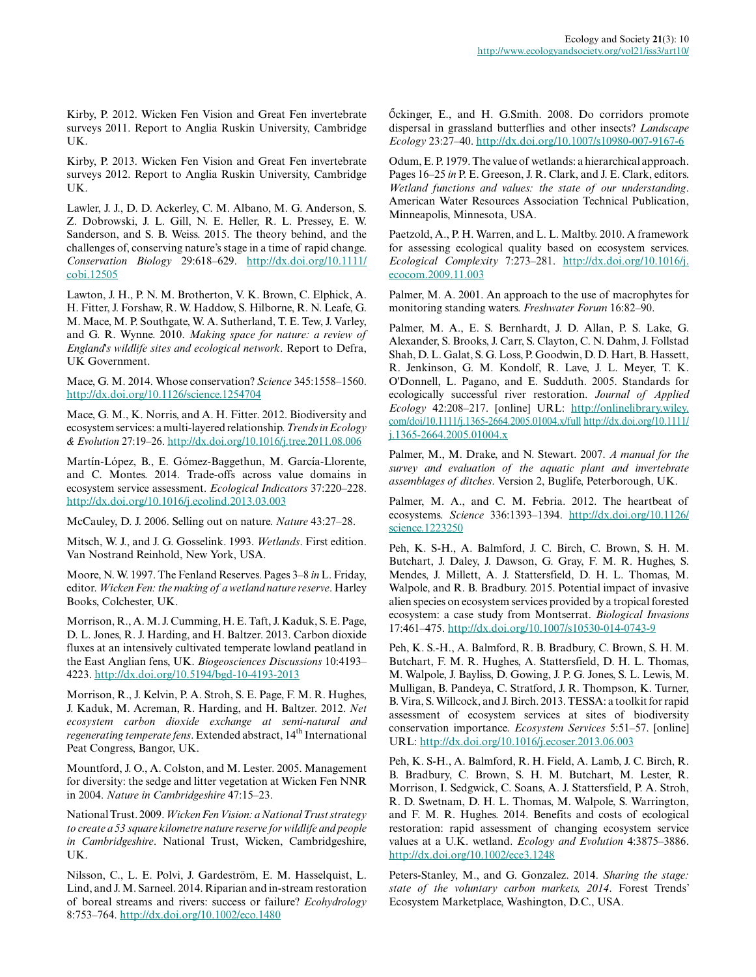Kirby, P. 2012. Wicken Fen Vision and Great Fen invertebrate surveys 2011. Report to Anglia Ruskin University, Cambridge UK.

Kirby, P. 2013. Wicken Fen Vision and Great Fen invertebrate surveys 2012. Report to Anglia Ruskin University, Cambridge UK.

Lawler, J. J., D. D. Ackerley, C. M. Albano, M. G. Anderson, S. Z. Dobrowski, J. L. Gill, N. E. Heller, R. L. Pressey, E. W. Sanderson, and S. B. Weiss. 2015. The theory behind, and the challenges of, conserving nature's stage in a time of rapid change. *Conservation Biology* 29:618–629. [http://dx.doi.org/10.1111/](http://dx.doi.org/10.1111%2Fcobi.12505) [cobi.12505](http://dx.doi.org/10.1111%2Fcobi.12505)

Lawton, J. H., P. N. M. Brotherton, V. K. Brown, C. Elphick, A. H. Fitter, J. Forshaw, R. W. Haddow, S. Hilborne, R. N. Leafe, G. M. Mace, M. P. Southgate, W. A. Sutherland, T. E. Tew, J. Varley, and G. R. Wynne. 2010. *Making space for nature: a review of England's wildlife sites and ecological network*. Report to Defra, UK Government.

Mace, G. M. 2014. Whose conservation? *Science* 345:1558–1560. [http://dx.doi.org/10.1126/science.1254704](http://dx.doi.org/10.1126%2Fscience.1254704)

Mace, G. M., K. Norris, and A. H. Fitter. 2012. Biodiversity and ecosystem services: a multi-layered relationship. *Trends in Ecology & Evolution* 27:19–26. [http://dx.doi.org/10.1016/j.tree.2011.08.006](http://dx.doi.org/10.1016%2Fj.tree.2011.08.006) 

Martín-López, B., E. Gómez-Baggethun, M. García-Llorente, and C. Montes. 2014. Trade-offs across value domains in ecosystem service assessment. *Ecological Indicators* 37:220–228. [http://dx.doi.org/10.1016/j.ecolind.2013.03.003](http://dx.doi.org/10.1016%2Fj.ecolind.2013.03.003) 

McCauley, D. J. 2006. Selling out on nature. *Nature* 43:27–28.

Mitsch, W. J., and J. G. Gosselink. 1993. *Wetlands*. First edition. Van Nostrand Reinhold, New York, USA.

Moore, N. W. 1997. The Fenland Reserves. Pages 3–8 *in* L. Friday, editor. *Wicken Fen: the making of a wetland nature reserve*. Harley Books, Colchester, UK.

Morrison, R., A. M. J. Cumming, H. E. Taft, J. Kaduk, S. E. Page, D. L. Jones, R. J. Harding, and H. Baltzer. 2013. Carbon dioxide fluxes at an intensively cultivated temperate lowland peatland in the East Anglian fens, UK. *Biogeosciences Discussions* 10:4193– 4223. [http://dx.doi.org/10.5194/bgd-10-4193-2013](http://dx.doi.org/10.5194%2Fbgd-10-4193-2013)

Morrison, R., J. Kelvin, P. A. Stroh, S. E. Page, F. M. R. Hughes, J. Kaduk, M. Acreman, R. Harding, and H. Baltzer. 2012. *Net ecosystem carbon dioxide exchange at semi-natural and regenerating temperate fens*. Extended abstract, 14th International Peat Congress, Bangor, UK.

Mountford, J. O., A. Colston, and M. Lester. 2005. Management for diversity: the sedge and litter vegetation at Wicken Fen NNR in 2004. *Nature in Cambridgeshire* 47:15–23.

National Trust. 2009. *Wicken Fen Vision: a National Trust strategy to create a 53 square kilometre nature reserve for wildlife and people in Cambridgeshire*. National Trust, Wicken, Cambridgeshire, UK.

Nilsson, C., L. E. Polvi, J. Gardeström, E. M. Hasselquist, L. Lind, and J. M. Sarneel. 2014. Riparian and in-stream restoration of boreal streams and rivers: success or failure? *Ecohydrology* 8:753–764. [http://dx.doi.org/10.1002/eco.1480](http://dx.doi.org/10.1002%2Feco.1480)

Őckinger, E., and H. G.Smith. 2008. Do corridors promote dispersal in grassland butterflies and other insects? *Landscape Ecology* 23:27–40. [http://dx.doi.org/10.1007/s10980-007-9167-6](http://dx.doi.org/10.1007%2Fs10980-007-9167-6) 

Odum, E. P. 1979. The value of wetlands: a hierarchical approach. Pages 16–25 *in* P. E. Greeson, J. R. Clark, and J. E. Clark, editors. *Wetland functions and values: the state of our understanding*. American Water Resources Association Technical Publication, Minneapolis, Minnesota, USA.

Paetzold, A., P. H. Warren, and L. L. Maltby. 2010. A framework for assessing ecological quality based on ecosystem services. *Ecological Complexity* 7:273–281. [http://dx.doi.org/10.1016/j.](http://dx.doi.org/10.1016%2Fj.ecocom.2009.11.003) [ecocom.2009.11.003](http://dx.doi.org/10.1016%2Fj.ecocom.2009.11.003) 

Palmer, M. A. 2001. An approach to the use of macrophytes for monitoring standing waters. *Freshwater Forum* 16:82–90.

Palmer, M. A., E. S. Bernhardt, J. D. Allan, P. S. Lake, G. Alexander, S. Brooks, J. Carr, S. Clayton, C. N. Dahm, J. Follstad Shah, D. L. Galat, S. G. Loss, P. Goodwin, D. D. Hart, B. Hassett, R. Jenkinson, G. M. Kondolf, R. Lave, J. L. Meyer, T. K. O'Donnell, L. Pagano, and E. Sudduth. 2005. Standards for ecologically successful river restoration. *Journal of Applied Ecology* 42:208–217. [online] URL: [http://onlinelibrary.wiley.](http://onlinelibrary.wiley.com/doi/10.1111/j.1365-2664.2005.01004.x/full) [com/doi/10.1111/j.1365-2664.2005.01004.x/full](http://onlinelibrary.wiley.com/doi/10.1111/j.1365-2664.2005.01004.x/full) [http://dx.doi.org/10.1111/](http://dx.doi.org/10.1111%2Fj.1365-2664.2005.01004.x) [j.1365-2664.2005.01004.x](http://dx.doi.org/10.1111%2Fj.1365-2664.2005.01004.x)

Palmer, M., M. Drake, and N. Stewart. 2007. *A manual for the survey and evaluation of the aquatic plant and invertebrate assemblages of ditches*. Version 2, Buglife, Peterborough, UK.

Palmer, M. A., and C. M. Febria. 2012. The heartbeat of ecosystems. *Science* 336:1393–1394. [http://dx.doi.org/10.1126/](http://dx.doi.org/10.1126%2Fscience.1223250) [science.1223250](http://dx.doi.org/10.1126%2Fscience.1223250)

Peh, K. S-H., A. Balmford, J. C. Birch, C. Brown, S. H. M. Butchart, J. Daley, J. Dawson, G. Gray, F. M. R. Hughes, S. Mendes, J. Millett, A. J. Stattersfield, D. H. L. Thomas, M. Walpole, and R. B. Bradbury. 2015. Potential impact of invasive alien species on ecosystem services provided by a tropical forested ecosystem: a case study from Montserrat. *Biological Invasions* 17:461–475. [http://dx.doi.org/10.1007/s10530-014-0743-9](http://dx.doi.org/10.1007%2Fs10530-014-0743-9) 

Peh, K. S.-H., A. Balmford, R. B. Bradbury, C. Brown, S. H. M. Butchart, F. M. R. Hughes, A. Stattersfield, D. H. L. Thomas, M. Walpole, J. Bayliss, D. Gowing, J. P. G. Jones, S. L. Lewis, M. Mulligan, B. Pandeya, C. Stratford, J. R. Thompson, K. Turner, B. Vira, S. Willcock, and J. Birch. 2013. TESSA: a toolkit for rapid assessment of ecosystem services at sites of biodiversity conservation importance. *Ecosystem Services* 5:51–57. [online] URL: [http://dx.doi.org/10.1016/j.ecoser.2013.06.003](http://dx.doi.org/10.1016%2Fj.ecoser.2013.06.003)

Peh, K. S-H., A. Balmford, R. H. Field, A. Lamb, J. C. Birch, R. B. Bradbury, C. Brown, S. H. M. Butchart, M. Lester, R. Morrison, I. Sedgwick, C. Soans, A. J. Stattersfield, P. A. Stroh, R. D. Swetnam, D. H. L. Thomas, M. Walpole, S. Warrington, and F. M. R. Hughes. 2014. Benefits and costs of ecological restoration: rapid assessment of changing ecosystem service values at a U.K. wetland. *Ecology and Evolution* 4:3875–3886. [http://dx.doi.org/10.1002/ece3.1248](http://dx.doi.org/10.1002%2Fece3.1248)

Peters-Stanley, M., and G. Gonzalez. 2014. *Sharing the stage: state of the voluntary carbon markets, 2014*. Forest Trends' Ecosystem Marketplace, Washington, D.C., USA.